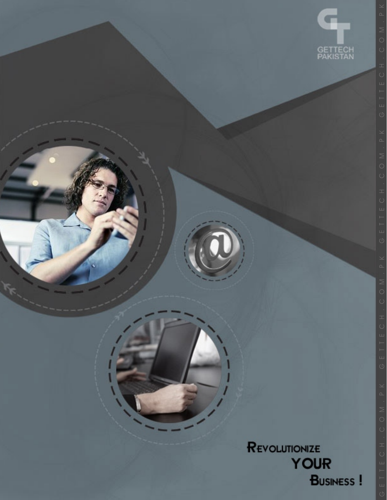

REVOLUTIONIZE **YOUR BUSINESS!**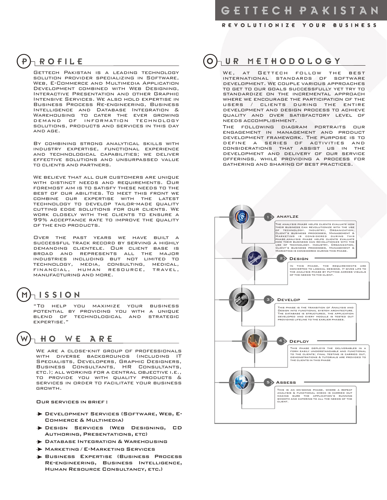R E V O L U T I O N I Z E Y O U R B U S I N E S S

# P ROFILE

Gettech Pakistan is a leading technology solution provider specializing in Software, Web, E-Commerce and Multimedia Application Development combined with Web Designing, Interactive Presentation and other Graphic Intensive Services. We also hold expertise in Business Process Re-engineering, Business Intelligence and Database Integration & WAREHOUSING TO CATER THE EVER GROWING<br>DEMAND OF INFORMATION TECHNOLOGY INFORMATION TECHNOLOGY solutions, products and services in this day and age.

By combining strong analytical skills with industry expertise, functional experience and technological capabilities; we deliver effective solutions and unsurpassed value to clients and partners.

We believe that all our customers are unique WITH DISTINCT NEEDS AND REQUIREMENTS. OUR foremost aim is to satisfy these needs to the best of our abilities. To meet this front we combine our expertise with the latest technology to develop tailor-made quality cutting edge solutions for our clients. We work closely with the clients to ensure a 99% acceptance rate to improve the quality of the end products.

Over the past years we have built a successful track record by serving a highly demanding clientele. Our client base is broad and represents all the major industries including but not limited to technology, media, consulting, medical, financial, human resource, travel, manufacturing and more.

# $M$  is sion

"To help you maximize your business potential by providing you with a unique blend of technological and strategic expertise."

#### HO WE ARE

WE ARE A CLOSE-KNIT GROUP OF PROFESSIONALS with diverse backgrounds (including IT SPECIALISTS, DEVELOPERS, GRAPHIC DESIGNERS,<br>BUSINESS CONSULTANTS, HR CONSULTANTS, BUSINESS CONSULTANTS, etc.); all working for a central objective i.e., to provide you with quality products & services in order to facilitate your business growth.

Our services in brief :

- Development Services (Software, Web, E-Commerce & Multimedia)
- Design Services (Web Designing, CD Authoring, Presentations, etc)
- **DATABASE INTEGRATION & WAREHOUSING**
- **MARKETING / E-MARKETING SERVICES**
- Business Expertise (Business Process Re-engineering, Business Intelligence, Human Resource Consultancy, etc.)

# O UR METHODOLOGY

AT GETTECH FOLLOW THE BEST international standards of software development. We couple various approaches to get to our goals successfully yet try to standardize on the incremental approach where we encourage the participation of the users / clients during the entire development and design process to achieve quality and over satisfactory level of needs accomplishment.

The following diagram portraits our engagement in management and product development framework. The purpose is to define a series of activities and considerations that assist us in the development and delivery of our service offerings, while providing a process for gathering and sharing of best practices.

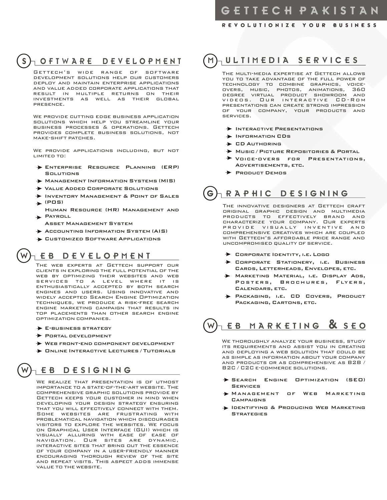#### R E V O L U T I O N I Z E Y O U R B U S I N E S S

## S } O F T W A R E D E V E L O P M E N T

Gettech's wide range of software development solutions help our customers deploy and maintain enterprise applications and value added corporate applications that result in multiple returns on their investments as well as their global presence.

We provide cutting edge business application solutions which help you streamline your business processes & operations. Gettech provides complete business solutions, not make-shift patches.

We provide applications including, but not limited to:

- Enterprise Resource Planning (ERP) **Solutions**
- Management Information Systems (MIS)
- Value Added Corporate Solutions
- Inventory Management & Point of Sales  $\blacktriangleright$  (POS)
- Human Resource (HR) Management and PAYROLL
- Asset Management System
- Accounting Information System (AIS)
- Customized Software Applications

#### **EB DEVELOPMENT**

The web experts at Gettech support our clients in exploring the full potential of the web by optimizing their websites and web services to a level where it is enthusiastically accepted by both search engines and users. Using innovative and widely accepted Search Engine Optimization techniques, we produce a risk-free search engine marketing campaign that results in top placements than other search engine optimization companies.

 $\rightarrow$  E-business strategy

 $\bigcirc$ 

- $\rightarrow$  Portal development
- Web front-end component development
- $\rightarrow$  **ONLINE INTERACTIVE LECTURES / TUTORIALS**

#### E B D E S I G N I N G

We realize that presentation is of utmost importance to a state-of-the-art website. The comprehensive graphic solutions provide by Gettech keeps your customer in mind when developing your design strategy ensuring that you will effectively connect with them. Some websites are frustrating with problematical navigation which discourages visitors to explore the websites. We focus on Graphical User Interface (GUI) which is visually alluring with ease of ease of navigation. Our sites are dynamic, interactive sites that bring out the essence of your company in a user-friendly manner encouraging thorough review of the site and repeat visits. This aspect adds immense value to the website.

# M U L TIM E D I A S E R V I C E S

The multi-media expertise at Gettech allows you to take advantage of the full power of technology to combine graphics, voiceovers, music, photos, animations, 360 degree virtual product showroom and VIDEOS. OUR INTERACTIVE CD-ROM presentations can create strong impression of your company, your products and services.

- $\rightarrow$  Interactive Presentations
- **INFORMATION CDS**
- **ED AUTHORING**
- Music / Picture Repositories & Portal
- Voice-overs for Presentations, Advertisements, etc.
- $\rightarrow$  Product Demos

# $G$ <sub>R</sub> a p h i c D E s i G N i N G

THE INNOVATIVE DESIGNERS AT GETTECH CRAFT original graphic design and multimedia products to effectively brand and characterize your company. Our experts provide visually inventive and comprehensive creatives which are coupled with Gettech's affordable price range and uncompromised quality of service.

- **▶ CORPORATE IDENTITY, I.E. LOGO**
- Corporate Stationery, i.e. Business Cards, Letterheads, Envelopes, etc.
- Marketing Material, i.e. Display Ads, Posters, Brochures, Flyers, Calendars, etc.
- Packaging, i.e. CD Covers, Product Packaging, Cartons, etc.

# EB MARKETING & SEO

3 and products or as comprehensive as B2B / 4 We thoroughly analyze your business, study its requirements and assist you in creating and deploying a web solution that could be as simple as information about your company B2C / C2C e-commerce solutions.

- Search Engine Optimization (SEO) 5 **SERVICES**
- Management of Web Marketing **CAMPAIGNS**
- Identifying & Producing Web Marketing **STRATEGIES**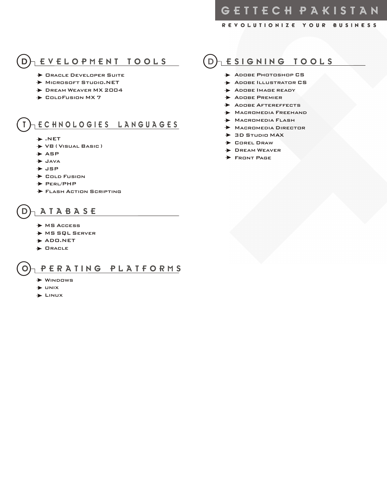R E V O L U T I O N I Z E Y O U R B U S I N E S S

# O EVELOPMENT TOOLS

- **> ORACLE DEVELOPER SUITE**
- Microsoft Studio.NET
- **DREAM WEAVER MX 2004**
- $\rightarrow$  ColdFusion MX 7

### E C H N O L O G I E S L A N G U A G E S

- $\rightarrow$  .NET
- VB ( Visual Basic )
- $\rightarrow$  ASP
- Java
- $\rightarrow$  JSP
- $\rightarrow$  Cold Fusion
- $\rightarrow$  PERL/PHP
- Flash Action Scripting

## $_1$  A T A B A S E

- → MS Access
- MS SQL Server
- $\rightarrow$  ADO.NET
- $\blacktriangleright$  ORACLE

#### PERATING PLATFORMS

- $\blacktriangleright$  WINDOWS
- $\rightarrow$  unix
- $\blacktriangleright$  LINUX

## $(D)$  ESIGNING TOOLS

- **ADOBE PHOTOSHOP CS**
- ADOBE ILLUSTRATOR CS
- ADOBE IMAGE READY
- **ADOBE PREMIER**
- ADOBE AFTEREFFECTS
- **MACROMEDIA FREEHAND**
- **MACROMEDIA FLASH**
- Macromedia Director
- $\rightarrow$  3D STUDIO MAX
- Corel Draw
- **DREAM WEAVER**
- **FRONT PAGE**